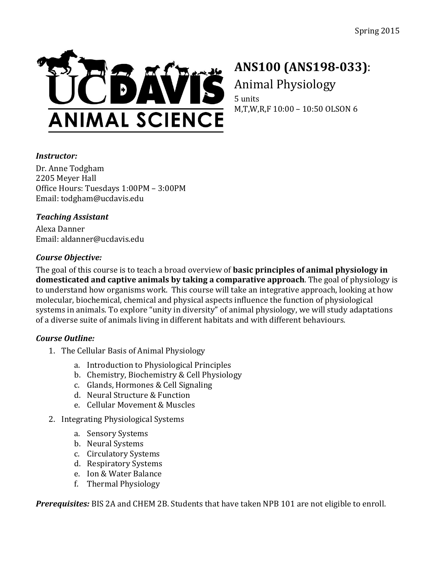

# **ANS100 (ANS198-033)**: Animal Physiology

5 units M,T,W,R,F 10:00 - 10:50 OLSON 6

## *Instructor:*

Dr. Anne Todgham 2205 Meyer Hall Office Hours: Tuesdays 1:00PM - 3:00PM Email: todgham@ucdavis.edu

## *Teaching Assistant*

Alexa Danner Email: aldanner@ucdavis.edu

## *Course Objective:*

The goal of this course is to teach a broad overview of **basic principles of animal physiology in domesticated and captive animals by taking a comparative approach**. The goal of physiology is to understand how organisms work. This course will take an integrative approach, looking at how molecular, biochemical, chemical and physical aspects influence the function of physiological systems in animals. To explore "unity in diversity" of animal physiology, we will study adaptations of a diverse suite of animals living in different habitats and with different behaviours.

## *Course Outline:*

- 1. The Cellular Basis of Animal Physiology
	- a. Introduction to Physiological Principles
	- b. Chemistry, Biochemistry & Cell Physiology
	- c. Glands, Hormones & Cell Signaling
	- d. Neural Structure & Function
	- e. Cellular Movement & Muscles
- 2. Integrating Physiological Systems
	- a. Sensory Systems
	- b. Neural Systems
	- c. Circulatory Systems
	- d. Respiratory Systems
	- e. Ion & Water Balance
	- f. Thermal Physiology

*Prerequisites:* BIS 2A and CHEM 2B. Students that have taken NPB 101 are not eligible to enroll.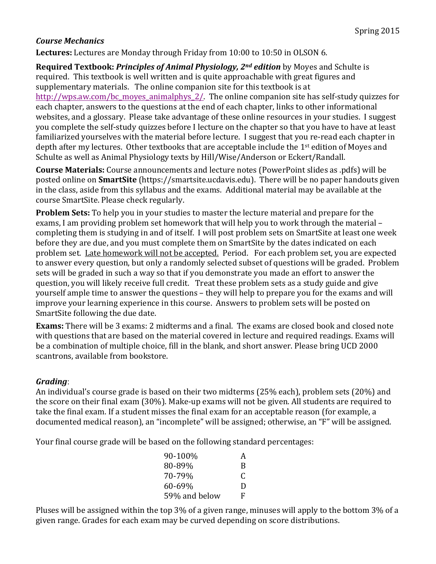### *Course Mechanics*

**Lectures:** Lectures are Monday through Friday from 10:00 to 10:50 in OLSON 6.

**Required Textbook: Principles of Animal Physiology, 2<sup>nd</sup> edition** by Moyes and Schulte is required. This textbook is well written and is quite approachable with great figures and supplementary materials. The online companion site for this textbook is at http://wps.aw.com/bc\_moyes\_animalphys\_2/. The online companion site has self-study quizzes for each chapter, answers to the questions at the end of each chapter, links to other informational websites, and a glossary. Please take advantage of these online resources in your studies. I suggest you complete the self-study quizzes before I lecture on the chapter so that you have to have at least familiarized yourselves with the material before lecture. I suggest that you re-read each chapter in depth after my lectures. Other textbooks that are acceptable include the 1<sup>st</sup> edition of Moyes and Schulte as well as Animal Physiology texts by Hill/Wise/Anderson or Eckert/Randall.

**Course Materials:** Course announcements and lecture notes (PowerPoint slides as .pdfs) will be posted online on **SmartSite** (https://smartsite.ucdavis.edu). There will be no paper handouts given in the class, aside from this syllabus and the exams. Additional material may be available at the course SmartSite. Please check regularly.

**Problem Sets:** To help you in your studies to master the lecture material and prepare for the exams, I am providing problem set homework that will help you to work through the material – completing them is studying in and of itself. I will post problem sets on SmartSite at least one week before they are due, and you must complete them on SmartSite by the dates indicated on each problem set. Late homework will not be accepted. Period. For each problem set, you are expected to answer every question, but only a randomly selected subset of questions will be graded. Problem sets will be graded in such a way so that if you demonstrate you made an effort to answer the question, you will likely receive full credit. Treat these problem sets as a study guide and give yourself ample time to answer the questions – they will help to prepare you for the exams and will improve your learning experience in this course. Answers to problem sets will be posted on SmartSite following the due date.

**Exams:** There will be 3 exams: 2 midterms and a final. The exams are closed book and closed note with questions that are based on the material covered in lecture and required readings. Exams will be a combination of multiple choice, fill in the blank, and short answer. Please bring UCD 2000 scantrons, available from bookstore.

#### *Grading*:

An individual's course grade is based on their two midterms  $(25%$  each), problem sets  $(20%)$  and the score on their final exam (30%). Make-up exams will not be given. All students are required to take the final exam. If a student misses the final exam for an acceptable reason (for example, a documented medical reason), an "incomplete" will be assigned; otherwise, an "F" will be assigned.

Your final course grade will be based on the following standard percentages:

| 90-100%       | А |
|---------------|---|
| 80-89%        | B |
| 70-79%        | C |
| 60-69%        | D |
| 59% and below | F |

Pluses will be assigned within the top 3% of a given range, minuses will apply to the bottom 3% of a given range. Grades for each exam may be curved depending on score distributions.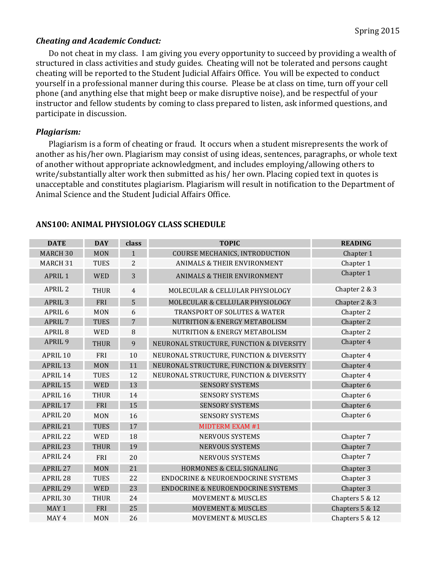#### *Cheating and Academic Conduct:*

Do not cheat in my class. I am giving you every opportunity to succeed by providing a wealth of structured in class activities and study guides. Cheating will not be tolerated and persons caught cheating will be reported to the Student Judicial Affairs Office. You will be expected to conduct yourself in a professional manner during this course. Please be at class on time, turn off your cell phone (and anything else that might beep or make disruptive noise), and be respectful of your instructor and fellow students by coming to class prepared to listen, ask informed questions, and participate in discussion.

#### *Plagiarism:*

Plagiarism is a form of cheating or fraud. It occurs when a student misrepresents the work of another as his/her own. Plagiarism may consist of using ideas, sentences, paragraphs, or whole text of another without appropriate acknowledgment, and includes employing/allowing others to write/substantially alter work then submitted as his/ her own. Placing copied text in quotes is unacceptable and constitutes plagiarism. Plagiarism will result in notification to the Department of Animal Science and the Student Judicial Affairs Office.

| <b>DATE</b>        | <b>DAY</b>  | class          | <b>TOPIC</b>                                  | <b>READING</b>  |
|--------------------|-------------|----------------|-----------------------------------------------|-----------------|
| <b>MARCH 30</b>    | <b>MON</b>  | $\mathbf{1}$   | COURSE MECHANICS, INTRODUCTION                | Chapter 1       |
| MARCH 31           | <b>TUES</b> | $\overline{2}$ | <b>ANIMALS &amp; THEIR ENVIRONMENT</b>        | Chapter 1       |
| <b>APRIL 1</b>     | <b>WED</b>  | 3              | <b>ANIMALS &amp; THEIR ENVIRONMENT</b>        | Chapter 1       |
| <b>APRIL 2</b>     | <b>THUR</b> | $\overline{4}$ | MOLECULAR & CELLULAR PHYSIOLOGY               | Chapter 2 & 3   |
| APRIL <sub>3</sub> | FRI         | 5              | MOLECULAR & CELLULAR PHYSIOLOGY               | Chapter 2 & 3   |
| APRIL <sub>6</sub> | <b>MON</b>  | 6              | <b>TRANSPORT OF SOLUTES &amp; WATER</b>       | Chapter 2       |
| <b>APRIL 7</b>     | <b>TUES</b> | 7              | <b>NUTRITION &amp; ENERGY METABOLISM</b>      | Chapter 2       |
| APRIL <sub>8</sub> | <b>WED</b>  | 8              | <b>NUTRITION &amp; ENERGY METABOLISM</b>      | Chapter 2       |
| APRIL <sub>9</sub> | <b>THUR</b> | 9              | NEURONAL STRUCTURE, FUNCTION & DIVERSITY      | Chapter 4       |
| APRIL 10           | FRI         | 10             | NEURONAL STRUCTURE, FUNCTION & DIVERSITY      | Chapter 4       |
| APRIL 13           | <b>MON</b>  | 11             | NEURONAL STRUCTURE, FUNCTION & DIVERSITY      | Chapter 4       |
| APRIL 14           | <b>TUES</b> | 12             | NEURONAL STRUCTURE, FUNCTION & DIVERSITY      | Chapter 4       |
| APRIL 15           | <b>WED</b>  | 13             | <b>SENSORY SYSTEMS</b>                        | Chapter 6       |
| APRIL 16           | <b>THUR</b> | 14             | <b>SENSORY SYSTEMS</b>                        | Chapter 6       |
| APRIL 17           | FRI         | 15             | <b>SENSORY SYSTEMS</b>                        | Chapter 6       |
| APRIL 20           | <b>MON</b>  | 16             | <b>SENSORY SYSTEMS</b>                        | Chapter 6       |
| APRIL 21           | <b>TUES</b> | 17             | <b>MIDTERM EXAM #1</b>                        |                 |
| APRIL 22           | <b>WED</b>  | 18             | <b>NERVOUS SYSTEMS</b>                        | Chapter 7       |
| APRIL 23           | <b>THUR</b> | 19             | <b>NERVOUS SYSTEMS</b>                        | Chapter 7       |
| APRIL 24           | FRI         | 20             | <b>NERVOUS SYSTEMS</b>                        | Chapter 7       |
| APRIL 27           | <b>MON</b>  | 21             | HORMONES & CELL SIGNALING                     | Chapter 3       |
| APRIL 28           | <b>TUES</b> | 22             | <b>ENDOCRINE &amp; NEUROENDOCRINE SYSTEMS</b> | Chapter 3       |
| APRIL 29           | <b>WED</b>  | 23             | ENDOCRINE & NEUROENDOCRINE SYSTEMS            | Chapter 3       |
| APRIL 30           | <b>THUR</b> | 24             | <b>MOVEMENT &amp; MUSCLES</b>                 | Chapters 5 & 12 |
| MAY 1              | FRI         | 25             | <b>MOVEMENT &amp; MUSCLES</b>                 | Chapters 5 & 12 |
| MAY 4              | <b>MON</b>  | 26             | <b>MOVEMENT &amp; MUSCLES</b>                 | Chapters 5 & 12 |

#### **ANS100: ANIMAL PHYSIOLOGY CLASS SCHEDULE**